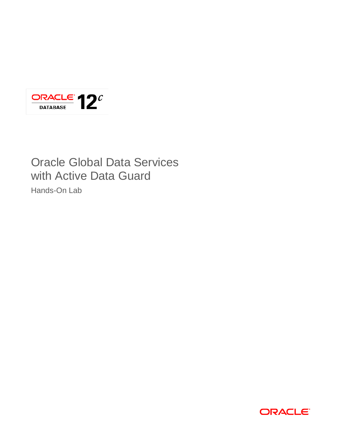

# Oracle Global Data Services with Active Data Guard

Hands-On Lab

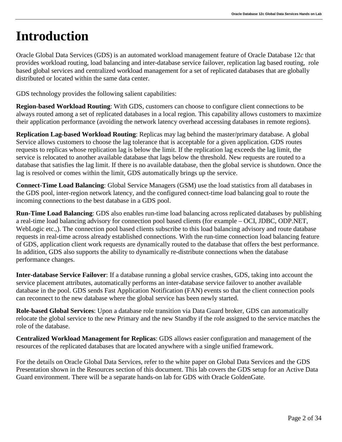# <span id="page-2-0"></span>**Introduction**

Oracle Global Data Services (GDS) is an automated workload management feature of Oracle Database 12*c* that provides workload routing, load balancing and inter-database service failover, replication lag based routing, role based global services and centralized workload management for a set of replicated databases that are globally distributed or located within the same data center.

GDS technology provides the following salient capabilities:

**Region-based Workload Routing**: With GDS, customers can choose to configure client connections to be always routed among a set of replicated databases in a local region. This capability allows customers to maximize their application performance (avoiding the network latency overhead accessing databases in remote regions).

**Replication Lag-based Workload Routing**: Replicas may lag behind the master/primary database. A global Service allows customers to choose the lag tolerance that is acceptable for a given application. GDS routes requests to replicas whose replication lag is below the limit. If the replication lag exceeds the lag limit, the service is relocated to another available database that lags below the threshold. New requests are routed to a database that satisfies the lag limit. If there is no available database, then the global service is shutdown. Once the lag is resolved or comes within the limit, GDS automatically brings up the service.

**Connect-Time Load Balancing**: Global Service Managers (GSM) use the load statistics from all databases in the GDS pool, inter-region network latency, and the configured connect-time load balancing goal to route the incoming connections to the best database in a GDS pool.

**Run-Time Load Balancing**: GDS also enables run-time load balancing across replicated databases by publishing a real-time load balancing advisory for connection pool based clients (for example – OCI, JDBC, ODP.NET, WebLogic etc..). The connection pool based clients subscribe to this load balancing advisory and route database requests in real-time across already established connections. With the run-time connection load balancing feature of GDS, application client work requests are dynamically routed to the database that offers the best performance. In addition, GDS also supports the ability to dynamically re-distribute connections when the database performance changes.

**Inter-database Service Failover**: If a database running a global service crashes, GDS, taking into account the service placement attributes, automatically performs an inter-database service failover to another available database in the pool. GDS sends Fast Application Notification (FAN) events so that the client connection pools can reconnect to the new database where the global service has been newly started.

**Role-based Global Services**: Upon a database role transition via Data Guard broker, GDS can automatically relocate the global service to the new Primary and the new Standby if the role assigned to the service matches the role of the database.

**Centralized Workload Management for Replicas**: GDS allows easier configuration and management of the resources of the replicated databases that are located anywhere with a single unified framework.

For the details on Oracle Global Data Services, refer to the white paper on Global Data Services and the GDS Presentation shown in the Resources section of this document. This lab covers the GDS setup for an Active Data Guard environment. There will be a separate hands-on lab for GDS with Oracle GoldenGate.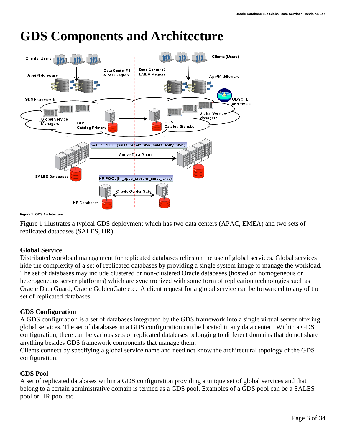

## <span id="page-3-0"></span>**GDS Components and Architecture**

#### **Figure 1: GDS Architecture**

Figure 1 illustrates a typical GDS deployment which has two data centers (APAC, EMEA) and two sets of replicated databases (SALES, HR).

### **Global Service**

Distributed workload management for replicated databases relies on the use of global services. Global services hide the complexity of a set of replicated databases by providing a single system image to manage the workload. The set of databases may include clustered or non-clustered Oracle databases (hosted on homogeneous or heterogeneous server platforms) which are synchronized with some form of replication technologies such as Oracle Data Guard, Oracle GoldenGate etc. A client request for a global service can be forwarded to any of the set of replicated databases.

### **GDS Configuration**

A GDS configuration is a set of databases integrated by the GDS framework into a single virtual server offering global services. The set of databases in a GDS configuration can be located in any data center. Within a GDS configuration, there can be various sets of replicated databases belonging to different domains that do not share anything besides GDS framework components that manage them.

Clients connect by specifying a global service name and need not know the architectural topology of the GDS configuration.

### **GDS Pool**

A set of replicated databases within a GDS configuration providing a unique set of global services and that belong to a certain administrative domain is termed as a GDS pool. Examples of a GDS pool can be a SALES pool or HR pool etc.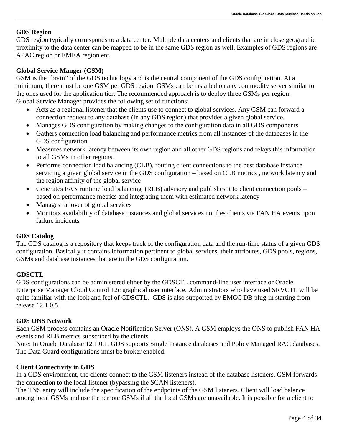#### **GDS Region**

GDS region typically corresponds to a data center. Multiple data centers and clients that are in close geographic proximity to the data center can be mapped to be in the same GDS region as well. Examples of GDS regions are APAC region or EMEA region etc.

#### **Global Service Manger (GSM)**

GSM is the "brain" of the GDS technology and is the central component of the GDS configuration. At a minimum, there must be one GSM per GDS region. GSMs can be installed on any commodity server similar to the ones used for the application tier. The recommended approach is to deploy three GSMs per region. Global Service Manager provides the following set of functions:

- Acts as a regional listener that the clients use to connect to global services. Any GSM can forward a connection request to any database (in any GDS region) that provides a given global service.
- Manages GDS configuration by making changes to the configuration data in all GDS components
- Gathers connection load balancing and performance metrics from all instances of the databases in the GDS configuration.
- Measures network latency between its own region and all other GDS regions and relays this information to all GSMs in other regions.
- Performs connection load balancing (CLB), routing client connections to the best database instance servicing a given global service in the GDS configuration – based on CLB metrics , network latency and the region affinity of the global service
- Generates FAN runtime load balancing (RLB) advisory and publishes it to client connection pools based on performance metrics and integrating them with estimated network latency
- Manages failover of global services
- Monitors availability of database instances and global services notifies clients via FAN HA events upon failure incidents

### **GDS Catalog**

The GDS catalog is a repository that keeps track of the configuration data and the run-time status of a given GDS configuration. Basically it contains information pertinent to global services, their attributes, GDS pools, regions, GSMs and database instances that are in the GDS configuration.

### **GDSCTL**

GDS configurations can be administered either by the GDSCTL command-line user interface or Oracle Enterprise Manager Cloud Control 12c graphical user interface. Administrators who have used SRVCTL will be quite familiar with the look and feel of GDSCTL. GDS is also supported by EMCC DB plug-in starting from release 12.1.0.5.

#### **GDS ONS Network**

Each GSM process contains an Oracle Notification Server (ONS). A GSM employs the ONS to publish FAN HA events and RLB metrics subscribed by the clients.

Note: In Oracle Database 12.1.0.1, GDS supports Single Instance databases and Policy Managed RAC databases. The Data Guard configurations must be broker enabled.

#### **Client Connectivity in GDS**

In a GDS environment, the clients connect to the GSM listeners instead of the database listeners. GSM forwards the connection to the local listener (bypassing the SCAN listeners).

The TNS entry will include the specification of the endpoints of the GSM listeners. Client will load balance among local GSMs and use the remote GSMs if all the local GSMs are unavailable. It is possible for a client to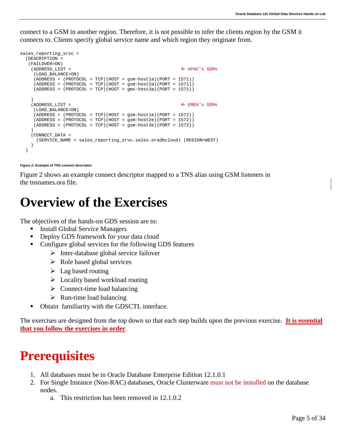connect to a GSM in another region. Therefore, it is not possible to infer the clients region by the GSM it connects to. Clients specify global service name and which region they originate from.

```
sales_reporting_srvc =
   (DESCRIPTION =
   (FAILOVER=ON)
    (ADDRESS LIST = \leftarrow APAC's GSMs
      (LOAD_BALANCE=ON)
      (ADDRESS = (PROTOCOL = TCP)(HOST = gsm-host1a)(PORT = 1571))
     (ADDRESS = (PROTOCOL = TCP) (HOST = gsm-host2a) (PORT = 1571)) (ADDRESS = (PROTOCOL = TCP)(HOST = gms-host3a)(PORT = 1571))
\overline{\phantom{a}}(ADDRESS \_LIST = \& \& EMEA's GSMs (LOAD_BALANCE=ON)
      (ADDRESS = (PROTOCOL = TCP)(HOST = gsm-host1e)(PORT = 1572))
      (ADDRESS = (PROTOCOL = TCP)(HOST = gsm-host2e)(PORT = 1572))
      (ADDRESS = (PROTOCOL = TCP)(HOST = gsm-host3e)(PORT = 1572))
\qquad \qquad (CONNECT_DATA =
      (SERVICE_NAME = sales_reporting_srvc.sales.oradbcloud) (REGION=WEST)
\overline{\phantom{a}} )
```
#### **Figure 2: Example of TNS connect descriptor**

Figure 2 shows an example connect descriptor mapped to a TNS alias using GSM listeners in the tnsnames.ora file.

### <span id="page-5-0"></span>**Overview of the Exercises**

The objectives of the hands-on GDS session are to:

- Install Global Service Managers
- Deploy GDS framework for your data cloud
- Configure global services for the following GDS features
	- $\triangleright$  Inter-database global service failover
	- $\triangleright$  Role based global services
	- $\triangleright$  Lag based routing
	- $\triangleright$  Locality based workload routing
	- $\triangleright$  Connect-time load balancing
	- $\triangleright$  Run-time load balancing
- Obtain familiarity with the GDSCTL interface.

The exercises are designed from the top down so that each step builds upon the previous exercise. **It is essential that you follow the exercises in order**.

### <span id="page-5-1"></span>**Prerequisites**

- 1. All databases must be in Oracle Database Enterprise Edition 12.1.0.1
- 2. For Single Instance (Non-RAC) databases, Oracle Clusterware must not be installed on the database nodes.
	- a. This restriction has been removed in 12.1.0.2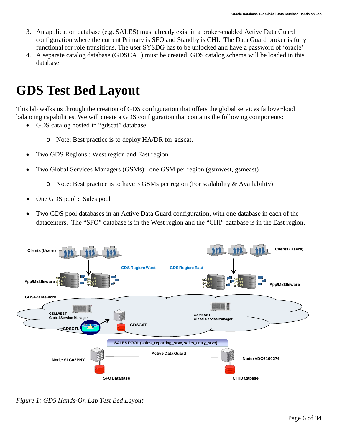- 3. An application database (e.g. SALES) must already exist in a broker-enabled Active Data Guard configuration where the current Primary is SFO and Standby is CHI. The Data Guard broker is fully functional for role transitions. The user SYSDG has to be unlocked and have a password of 'oracle'
- 4. A separate catalog database (GDSCAT) must be created. GDS catalog schema will be loaded in this database.

## <span id="page-6-0"></span>**GDS Test Bed Layout**

This lab walks us through the creation of GDS configuration that offers the global services failover/load balancing capabilities. We will create a GDS configuration that contains the following components:

- GDS catalog hosted in "gdscat" database
	- o Note: Best practice is to deploy HA/DR for gdscat.
- Two GDS Regions : West region and East region
- Two Global Services Managers (GSMs): one GSM per region (gsmwest, gsmeast)
	- o Note: Best practice is to have 3 GSMs per region (For scalability & Availability)
- One GDS pool : Sales pool
- Two GDS pool databases in an Active Data Guard configuration, with one database in each of the datacenters. The "SFO" database is in the West region and the "CHI" database is in the East region.



*Figure 1: GDS Hands-On Lab Test Bed Layout*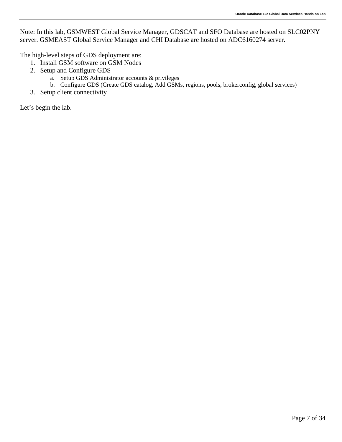Note: In this lab, GSMWEST Global Service Manager, GDSCAT and SFO Database are hosted on SLC02PNY server. GSMEAST Global Service Manager and CHI Database are hosted on ADC6160274 server.

The high-level steps of GDS deployment are:

- 1. Install GSM software on GSM Nodes
- 2. Setup and Configure GDS
	- a. Setup GDS Administrator accounts & privileges
	- b. Configure GDS (Create GDS catalog, Add GSMs, regions, pools, brokerconfig, global services)
- 3. Setup client connectivity

Let's begin the lab.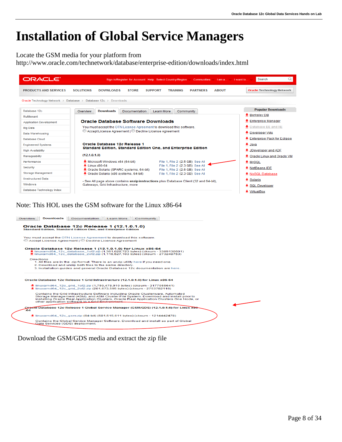## <span id="page-8-0"></span>**Installation of Global Service Managers**

Locate the GSM media for your platform from

<http://www.oracle.com/technetwork/database/enterprise-edition/downloads/index.html>



Note: This HOL uses the GSM software for the Linux x86-64



Download the GSM/GDS media and extract the zip file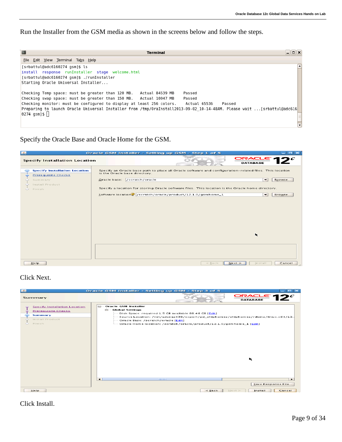Run the Installer from the GSM media as shown in the screens below and follow the steps.

| Terminal                                                                                                                                                                                                                                                                                                                                                                                                                                                                                                                                                                  | .∥o∥xi |
|---------------------------------------------------------------------------------------------------------------------------------------------------------------------------------------------------------------------------------------------------------------------------------------------------------------------------------------------------------------------------------------------------------------------------------------------------------------------------------------------------------------------------------------------------------------------------|--------|
| File Edit View Terminal Tabs Help                                                                                                                                                                                                                                                                                                                                                                                                                                                                                                                                         |        |
| [srbattul@adc6160274 gsm]\$ ls<br>install response runInstaller stage welcome.html<br>[srbattul@adc6160274 qsm]\$ ./runInstaller<br>Starting Oracle Universal Installer<br>Checking Temp space: must be greater than 120 MB. Actual 84539 MB<br>Passed<br>Checking swap space: must be greater than 150 MB. Actual 10047 MB<br>Passed<br>Checking monitor: must be configured to display at least 256 colors.<br>Actual 65536<br>Preparing to launch Oracle Universal Installer from /tmp/OraInstall2013-09-02 10-14-48AM. Please wait [srbattul@adc616 <br>$0274$ qsm]\$ | Passed |

Specify the Oracle Base and Oracle Home for the GSM.

| $\frac{2}{3}$                                                                                              | $\Box$ cix<br>Oracle GSM Installer - Setting up GSM - Step 1 of 5                                                                                                                                                                                                                                                                                                                                                           |
|------------------------------------------------------------------------------------------------------------|-----------------------------------------------------------------------------------------------------------------------------------------------------------------------------------------------------------------------------------------------------------------------------------------------------------------------------------------------------------------------------------------------------------------------------|
| <b>Specify Installation Location</b>                                                                       | $\frac{ORACLE}{OR}$ 12 <sup>c</sup><br><b>DATABASE</b>                                                                                                                                                                                                                                                                                                                                                                      |
| <b>Specify Installation Location</b><br><b>Prerequisite Checks</b><br>Summary<br>Install Product<br>Finish | Specify an Oracle base path to place all Oracle software and configuration-related files. This location<br>is the Oracle base directory.<br>/scratch/oracle<br>Oracle base:<br>$\overline{\phantom{a}}$<br>Browse<br>Specify a location for storing Oracle software files. This location is the Oracle home directory.<br>Software locations /scratch/oracle/product/12.1.0/gsmhome_1<br>$\overline{\phantom{0}}$<br>Browse |
|                                                                                                            | h,                                                                                                                                                                                                                                                                                                                                                                                                                          |
| Help                                                                                                       | Cancel<br>$<$ Back<br>Next<br>Install                                                                                                                                                                                                                                                                                                                                                                                       |

### Click Next.



### Click Install.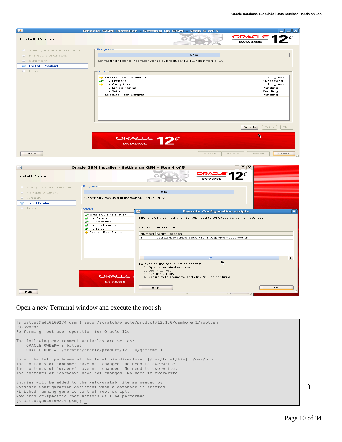| $\mathcal{L}_{\mathcal{A}}$                                                               | Oracle GSM Installer - Setting up GSM - Step 4 of 5                                                                                                 | $\blacksquare$ $\blacksquare$ $\blacksquare$                                                            |
|-------------------------------------------------------------------------------------------|-----------------------------------------------------------------------------------------------------------------------------------------------------|---------------------------------------------------------------------------------------------------------|
| <b>Install Product</b>                                                                    |                                                                                                                                                     | $ORACLE$ 12 <sup>c</sup><br><b>DATABASE</b>                                                             |
| Specify Installation Location<br>Prerequisite Checks<br>Summary<br><b>Install Product</b> | -Progress-<br>64%<br>Extracting files to '/scratch/oracle/product/12.1.0/gsmhome_1'.                                                                |                                                                                                         |
| Finish                                                                                    | -Status <sup>.</sup><br>Oracle GSM Installation<br>• Prepare<br>✅<br>• Copy files<br>➾<br>• Link binaries<br>• Setup<br><b>Execute Root Scripts</b> | In Progress<br>Succeeded<br>In Progress<br>Pending<br>Pending<br>Pending<br>$5$ kip<br>Details<br>Retry |
| Help                                                                                      | ORACLE $12^c$                                                                                                                                       | ℞<br>$<$ Back<br>Cancel<br>Next<br>Install                                                              |
| $\left  \frac{\phi}{\phi} \right $                                                        | Oracle GSM Installer - Setting up GSM - Step 4 of 5                                                                                                 | $\Box$ e $ \mathbf{x} $                                                                                 |



### Open a new Terminal window and execute the root.sh

| [srbattul@adc6160274 qsm]\$ sudo /scratch/oracle/product/12.1.0/qsmhome 1/root.sh<br>Password:<br>Performing root user operation for Oracle 12c                                                                                                                                             |
|---------------------------------------------------------------------------------------------------------------------------------------------------------------------------------------------------------------------------------------------------------------------------------------------|
| The following environment variables are set as:<br>ORACLE OWNER= srbattul<br>ORACLE HOME= /scratch/oracle/product/12.1.0/gsmhome 1                                                                                                                                                          |
| Enter the full pathname of the local bin directory: [/usr/local/bin]: /usr/bin<br>The contents of "dbhome" have not changed. No need to overwrite.<br>The contents of "oraenv" have not changed. No need to overwrite.<br>The contents of "coraenv" have not changed. No need to overwrite. |
| Entries will be added to the /etc/oratab file as needed by<br>Database Configuration Assistant when a database is created<br>Finished running generic part of root script.<br>Now product-specific root actions will be performed.<br>[srbattul@adc6160274 gsm]\$                           |

Ĩ.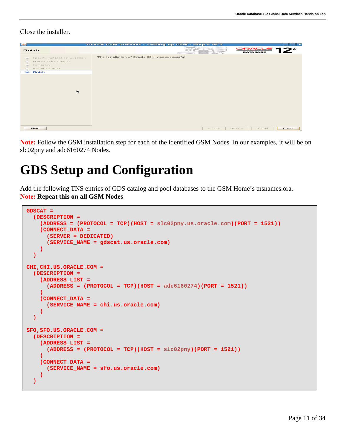Close the installer.

| $\left  \cdot \right $                                                                                                   | Oracle GSM Installer - Setting up GSM - Step 5 of 5 |          |                                                             | $   \sim$ |
|--------------------------------------------------------------------------------------------------------------------------|-----------------------------------------------------|----------|-------------------------------------------------------------|-----------|
| Finish                                                                                                                   |                                                     |          | $\frac{ORACLE}{PATAISE}$ 12 <sup>c</sup><br><b>DATABASE</b> |           |
| Specify Installation Location<br>Prerequisite Checks<br>Summary<br>Install Product<br>Finish<br>$\overline{\phantom{a}}$ | The installation of Oracle GSM was successful.      |          |                                                             |           |
| Help                                                                                                                     |                                                     | $<$ Back | Next ><br>Install                                           | Close     |

**Note:** Follow the GSM installation step for each of the identified GSM Nodes. In our examples, it will be on slc02pny and adc6160274 Nodes.

### <span id="page-11-0"></span>**GDS Setup and Configuration**

Add the following TNS entries of GDS catalog and pool databases to the GSM Home's tnsnames.ora. **Note: Repeat this on all GSM Nodes**

```
GDSCAT =
   (DESCRIPTION =
     (ADDRESS = (PROTOCOL = TCP)(HOST = slc02pny.us.oracle.com)(PORT = 1521))
     (CONNECT_DATA =
       (SERVER = DEDICATED)
       (SERVICE_NAME = gdscat.us.oracle.com)
     )
   )
CHI,CHI.US.ORACLE.COM =
   (DESCRIPTION =
     (ADDRESS_LIST =
       (ADDRESS = (PROTOCOL = TCP)(HOST = adc6160274)(PORT = 1521))
     )
     (CONNECT_DATA =
       (SERVICE_NAME = chi.us.oracle.com)
     )
   )
SFO,SFO.US.ORACLE.COM =
   (DESCRIPTION =
     (ADDRESS_LIST =
       (ADDRESS = (PROTOCOL = TCP)(HOST = slc02pny)(PORT = 1521))
     )
     (CONNECT_DATA =
       (SERVICE_NAME = sfo.us.oracle.com)
 )
   )
```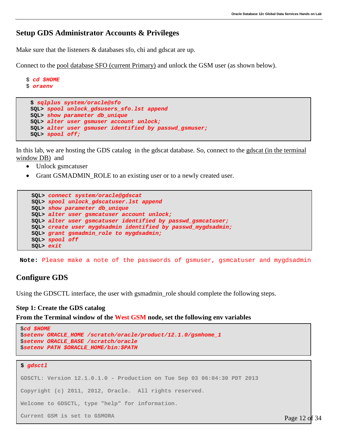### **Setup GDS Administrator Accounts & Privileges**

Make sure that the listeners & databases sfo, chi and gdscat are up.

Connect to the pool database SFO (current Primary) and unlock the GSM user (as shown below).

```
$ oraenv
 $ sqlplus system/oracle@sfo
 SQL> spool unlock_gdsusers_sfo.lst append
 SQL> show parameter db_unique
 SQL> alter user gsmuser account unlock;
 SQL> alter user gsmuser identified by passwd_gsmuser;
 SQL> spool off;
```
In this lab, we are hosting the GDS catalog in the gdscat database. So, connect to the gdscat (in the terminal window DB) and

• Unlock gsmcatuser

\$ *cd \$HOME*

• Grant GSMADMIN\_ROLE to an existing user or to a newly created user.

```
SQL> connect system/oracle@gdscat
SQL> spool unlock_gdscatuser.lst append
SQL> show parameter db_unique
SQL> alter user gsmcatuser account unlock;
SQL> alter user gsmcatuser identified by passwd_gsmcatuser;
SQL> create user mygdsadmin identified by passwd_mygdsadmin;
SQL> grant gsmadmin_role to mygdsadmin;
SQL> spool off
SQL> exit
```
**Note:** Please make a note of the passwords of gsmuser, gsmcatuser and mygdsadmin

### **Configure GDS**

<span id="page-12-0"></span>Using the GDSCTL interface, the user with gsmadmin role should complete the following steps.

#### **Step 1: Create the GDS catalog**

**From the Terminal window of the West GSM node, set the following env variables**

```
$cd $HOME
$setenv ORACLE_HOME /scratch/oracle/product/12.1.0/gsmhome_1
$setenv ORACLE_BASE /scratch/oracle
$setenv PATH $ORACLE_HOME/bin:$PATH
$ gdsctl
GDSCTL: Version 12.1.0.1.0 - Production on Tue Sep 03 06:04:30 PDT 2013
Copyright (c) 2011, 2012, Oracle. All rights reserved.
Welcome to GDSCTL, type "help" for information.
Current GSM is set to GSMORA Page 12 of 34
```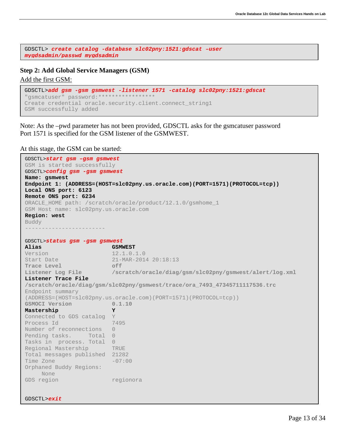GDSCTL> *create catalog -database slc02pny:1521:gdscat –user mygdsadmin/passwd mygdsadmin*

#### <span id="page-13-0"></span>**Step 2: Add Global Service Managers (GSM)**

#### Add the first GSM:

```
GDSCTL>add gsm -gsm gsmwest -listener 1571 -catalog slc02pny:1521:gdscat
"gsmcatuser" password: ***
Create credential oracle.security.client.connect_string1
GSM successfully added
```
Note: As the –pwd parameter has not been provided, GDSCTL asks for the gsmcatuser password Port 1571 is specified for the GSM listener of the GSMWEST.

At this stage, the GSM can be started:

```
GDSCTL>start gsm –gsm gsmwest
GSM is started successfully
GDSCTL>config gsm -gsm gsmwest
Name: gsmwest
Endpoint 1: (ADDRESS=(HOST=slc02pny.us.oracle.com)(PORT=1571)(PROTOCOL=tcp))
Local ONS port: 6123
Remote ONS port: 6234
ORACLE_HOME path: /scratch/oracle/product/12.1.0/gsmhome_1
GSM Host name: slc02pny.us.oracle.com
Region: west
Buddy
------------------------
GDSCTL>status gsm -gsm gsmwest
Alias GSMWEST
Version 12.1.0.1.0<br>Start Date 21-MAR-201
                          21-MAR-2014 20:18:13<br>off
Trace Level<br>Listener Log File
                          Listener Log File /scratch/oracle/diag/gsm/slc02pny/gsmwest/alert/log.xml
Listener Trace File 
/scratch/oracle/diag/gsm/slc02pny/gsmwest/trace/ora_7493_47345711117536.trc
Endpoint summary 
(ADDRESS=(HOST=slc02pny.us.oracle.com)(PORT=1571)(PROTOCOL=tcp))<br>
GSMOCI Version 0.1.10
GSMOCI Version 0.1.10
Mastership Y
Connected to GDS catalog Y<br>Process Id 7495
Process Id
Number of reconnections 0
Pending tasks. Total 0
Tasks in process. Total 0
Regional Mastership TRUE
Total messages published 21282
Time Zone
Orphaned Buddy Regions: 
     None
GDS region regionora
```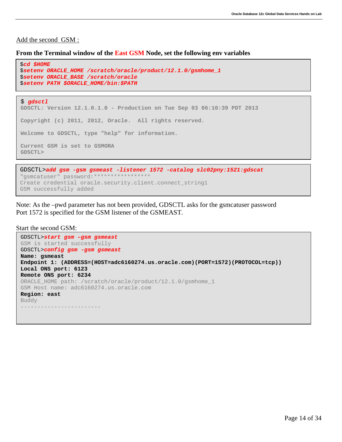#### Add the second GSM :

#### **From the Terminal window of the East GSM Node, set the following env variables**

```
$ gdsctl 
GDSCTL: Version 12.1.0.1.0 - Production on Tue Sep 03 06:10:39 PDT 2013
Copyright (c) 2011, 2012, Oracle. All rights reserved.
Welcome to GDSCTL, type "help" for information.
Current GSM is set to GSMORA
GDSCTL>
$cd $HOME
$setenv ORACLE_HOME /scratch/oracle/product/12.1.0/gsmhome_1
$setenv ORACLE_BASE /scratch/oracle
$setenv PATH $ORACLE_HOME/bin:$PATH
```

```
GDSCTL>add gsm -gsm gsmeast -listener 1572 -catalog slc02pny:1521:gdscat
"gsmcatuser" password:*****************
Create credential oracle.security.client.connect_string1
GSM successfully added
```
Note: As the –pwd parameter has not been provided, GDSCTL asks for the gsmcatuser password Port 1572 is specified for the GSM listener of the GSMEAST.

Start the second GSM:

```
GDSCTL>start gsm –gsm gsmeast
GSM is started successfully 
GDSCTL>config gsm -gsm gsmeast
Name: gsmeast
Endpoint 1: (ADDRESS=(HOST=adc6160274.us.oracle.com)(PORT=1572)(PROTOCOL=tcp))
Local ONS port: 6123
Remote ONS port: 6234
ORACLE_HOME path: /scratch/oracle/product/12.1.0/gsmhome_1
GSM Host name: adc6160274.us.oracle.com
Region: east
Buddy
------------------------
```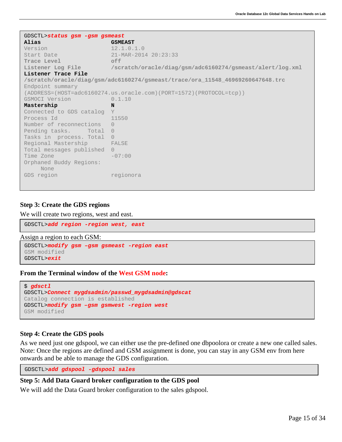```
GDSCTL>status gsm -gsm gsmeast
                           Alias GSMEAST
Version 12.1.0.1.0<br>Start Date 21-MAR-201
                           21-MAR-2014 20:23:33<br>off
Trace Level<br>Listener Log File
                           Listener Log File /scratch/oracle/diag/gsm/adc6160274/gsmeast/alert/log.xml
Listener Trace File 
/scratch/oracle/diag/gsm/adc6160274/gsmeast/trace/ora_11548_46969260647648.trc
Endpoint summary 
(ADDRESS=(HOST=adc6160274.us.oracle.com)(PORT=1572)(PROTOCOL=tcp))<br>GSMOCI Version 0.1.10
GSMOCI Version
Mastership N
Connected to GDS catalog Y<br>Process Id 11550
Process Id
Number of reconnections 0
Pending tasks. Total 0
Tasks in process. Total 0
Regional Mastership FALSE
Total messages published 0<br>Time Zone -07:00
Time Zone
Orphaned Buddy Regions: 
     None
GDS region regionora
```
#### <span id="page-15-0"></span>**Step 3: Create the GDS regions**

We will create two regions, west and east.

GDSCTL>*add region -region west, east*

Assign a region to each GSM:

GDSCTL>*modify gsm –gsm gsmeast -region east* GSM modified GDSCTL>*exit*

**From the Terminal window of the West GSM node:**

```
$ gdsctl
GDSCTL>Connect mygdsadmin/passwd_mygdsadmin@gdscat
Catalog connection is established
GDSCTL>modify gsm –gsm gsmwest -region west
GSM modified
```
#### <span id="page-15-1"></span>**Step 4: Create the GDS pools**

As we need just one gdspool, we can either use the pre-defined one dbpoolora or create a new one called sales. Note: Once the regions are defined and GSM assignment is done, you can stay in any GSM env from here onwards and be able to manage the GDS configuration.

<span id="page-15-2"></span>GDSCTL>*add gdspool -gdspool sales*

### **Step 5: Add Data Guard broker configuration to the GDS pool**

We will add the Data Guard broker configuration to the sales gdspool.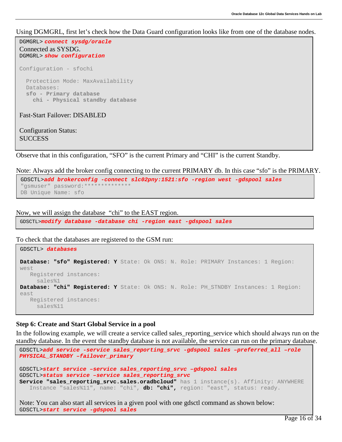#### Using DGMGRL, first let's check how the Data Guard configuration looks like from one of the database nodes.

```
DGMGRL> connect sysdg/oracle
Connected as SYSDG.
DGMGRL> show configuration
Configuration - sfochi
   Protection Mode: MaxAvailability
  Databases:
  sfo - Primary database
    chi - Physical standby database 
Fast-Start Failover: DISABLED
```
Configuration Status: **SUCCESS** 

Observe that in this configuration, "SFO" is the current Primary and "CHI" is the current Standby.

Note: Always add the broker config connecting to the current PRIMARY db. In this case "sfo" is the PRIMARY.

```
GDSCTL>add brokerconfig -connect slc02pny:1521:sfo -region west -gdspool sales
"gsmuser" password:
DB Unique Name: sfo
```
Now, we will assign the database "chi" to the EAST region.

GDSCTL>*modify database -database chi -region east -gdspool sales*

To check that the databases are registered to the GSM run:

```
GDSCTL> databases 
Database: "sfo" Registered: Y State: Ok ONS: N. Role: PRIMARY Instances: 1 Region: 
west
    Registered instances:
     sales%1
Database: "chi" Registered: Y State: Ok ONS: N. Role: PH_STNDBY Instances: 1 Region: 
east
   Registered instances:
      sales%11
```
### <span id="page-16-0"></span>**Step 6: Create and Start Global Service in a pool**

In the following example, we will create a service called sales\_reporting\_service which should always run on the standby database. In the event the standby database is not available, the service can run on the primary database.

```
GDSCTL>add service -service sales_reporting_srvc -gdspool sales –preferred_all –role 
PHYSICAL_STANDBY –failover_primary
GDSCTL>start service –service sales_reporting_srvc –gdspool sales 
GDSCTL>status service –service sales_reporting_srvc
Service "sales reporting srvc.sales.oradbcloud" has 1 instance(s). Affinity: ANYWHERE
    Instance "sales%11", name: "chi", db: "chi", region: "east", status: ready.
```
Note: You can also start all services in a given pool with one gdsctl command as shown below: GDSCTL>*start service -gdspool sales*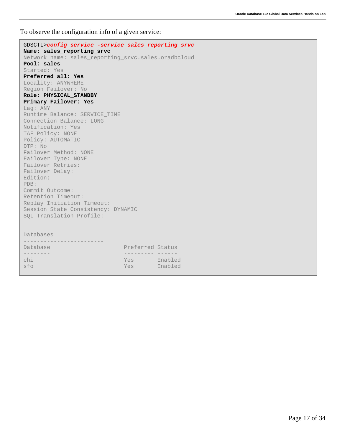To observe the configuration info of a given service:

| GDSCTL>config service -service sales_reporting_srvc                               |                  |  |
|-----------------------------------------------------------------------------------|------------------|--|
| Name: sales_reporting_srvc<br>Network name: sales_reporting_srvc.sales.oradbcloud |                  |  |
| Pool: sales                                                                       |                  |  |
| Started: Yes                                                                      |                  |  |
| Preferred all: Yes                                                                |                  |  |
| Locality: ANYWHERE                                                                |                  |  |
| Region Failover: No                                                               |                  |  |
| Role: PHYSICAL STANDBY                                                            |                  |  |
| Primary Failover: Yes                                                             |                  |  |
| Laq: ANY                                                                          |                  |  |
| Runtime Balance: SERVICE TIME                                                     |                  |  |
| Connection Balance: LONG                                                          |                  |  |
| Notification: Yes                                                                 |                  |  |
| TAF Policy: NONE                                                                  |                  |  |
| Policy: AUTOMATIC                                                                 |                  |  |
| DTP: No                                                                           |                  |  |
| Failover Method: NONE                                                             |                  |  |
| Failover Type: NONE                                                               |                  |  |
| Failover Retries:                                                                 |                  |  |
| Failover Delay:                                                                   |                  |  |
| Edition:                                                                          |                  |  |
| PDB:                                                                              |                  |  |
| Commit Outcome:                                                                   |                  |  |
| Retention Timeout:                                                                |                  |  |
| Replay Initiation Timeout:                                                        |                  |  |
| Session State Consistency: DYNAMIC                                                |                  |  |
| SQL Translation Profile:                                                          |                  |  |
|                                                                                   |                  |  |
| Databases                                                                         |                  |  |
|                                                                                   |                  |  |
| Database                                                                          | Preferred Status |  |
|                                                                                   |                  |  |
| chi                                                                               | Yes Enabled      |  |
| sfo                                                                               | Yes Enabled      |  |
|                                                                                   |                  |  |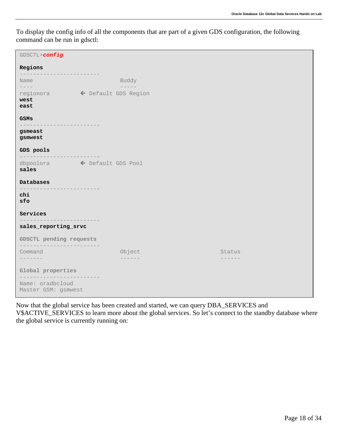To display the config info of all the components that are part of a given GDS configuration, the following command can be run in gdsctl:

| GDSCTL>config                                   |            |                   |
|-------------------------------------------------|------------|-------------------|
| Regions                                         |            |                   |
| Name<br>$--- - - -$                             | Buddy      |                   |
| west<br>east                                    |            |                   |
| GSMs                                            |            |                   |
| gsmeast<br>gsmwest                              |            |                   |
| GDS pools                                       |            |                   |
| sales                                           |            |                   |
| Databases<br>-----------                        |            |                   |
| chi<br>sfo                                      | ---------- |                   |
| Services                                        |            |                   |
| sales_reporting_srvc                            |            |                   |
| GDSCTL pending requests<br>-------------------- |            |                   |
| Command<br>. <i>.</i> .                         | Object     | Status<br>------- |
| Global properties                               |            |                   |
| Name: oradbcloud<br>Master GSM: gsmwest         | ---------  |                   |

Now that the global service has been created and started, we can query DBA\_SERVICES and V\$ACTIVE\_SERVICES to learn more about the global services. So let's connect to the standby database where the global service is currently running on: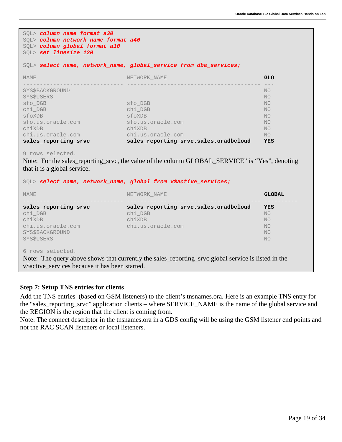| SOL> column name format a30<br>SQL> column network_name format a40<br>SQL> column global format a10<br>SQL> set linesize 120 |                                                                                                                                                                                   |               |  |  |
|------------------------------------------------------------------------------------------------------------------------------|-----------------------------------------------------------------------------------------------------------------------------------------------------------------------------------|---------------|--|--|
|                                                                                                                              | SQL> select name, network_name, global_service from dba_services;                                                                                                                 |               |  |  |
| NAME                                                                                                                         | NETWORK NAME                                                                                                                                                                      | <b>GLO</b>    |  |  |
| SYS\$BACKGROUND                                                                                                              |                                                                                                                                                                                   | NO            |  |  |
| SYS\$USERS                                                                                                                   |                                                                                                                                                                                   | NO            |  |  |
| sfo DGB                                                                                                                      | sfo DGB                                                                                                                                                                           | NO.           |  |  |
| chi_DGB                                                                                                                      | chi_DGB                                                                                                                                                                           | NO            |  |  |
| sfoXDB                                                                                                                       | sfoXDB                                                                                                                                                                            | NO            |  |  |
| sfo.us.oracle.com                                                                                                            | sfo.us.oracle.com                                                                                                                                                                 | NO.           |  |  |
|                                                                                                                              |                                                                                                                                                                                   | NO.           |  |  |
| chiXDB                                                                                                                       | chiXDB                                                                                                                                                                            |               |  |  |
|                                                                                                                              | chi.us.oracle.com                                                                                                                                                                 | NO            |  |  |
| chi.us.oracle.com<br>sales_reporting_srvc                                                                                    | sales_reporting_srvc.sales.oradbcloud                                                                                                                                             | YES           |  |  |
| 9 rows selected.<br>that it is a global service.<br><b>NAME</b>                                                              | Note: For the sales_reporting_srvc, the value of the column GLOBAL_SERVICE" is "Yes", denoting<br>SQL> select name, network_name, global from v\$active_services;<br>NETWORK NAME | <b>GLOBAL</b> |  |  |
| sales_reporting_srvc                                                                                                         | sales_reporting_srvc.sales.oradbcloud                                                                                                                                             | YES           |  |  |
| chi_DGB                                                                                                                      | chi_DGB                                                                                                                                                                           | NO            |  |  |
|                                                                                                                              | chiXDB                                                                                                                                                                            | NO.           |  |  |
| chiXDB<br>chi.us.oracle.com                                                                                                  | chi.us.oracle.com                                                                                                                                                                 | NO.           |  |  |
| SYS\$BACKGROUND<br>SYS\$USERS                                                                                                |                                                                                                                                                                                   | NO<br>NO      |  |  |

### <span id="page-19-0"></span>**Step 7: Setup TNS entries for clients**

Add the TNS entries (based on GSM listeners) to the client's tnsnames.ora. Here is an example TNS entry for the "sales\_reporting\_srvc" application clients – where SERVICE\_NAME is the name of the global service and the REGION is the region that the client is coming from.

Note: The connect descriptor in the tnsnames.ora in a GDS config will be using the GSM listener end points and not the RAC SCAN listeners or local listeners.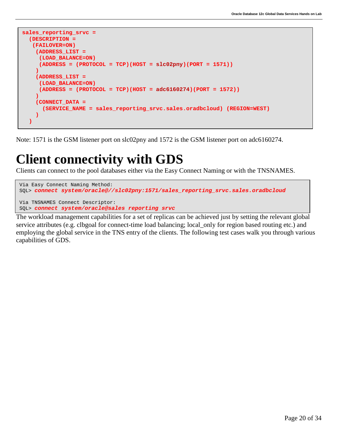```
sales_reporting_srvc =
  (DESCRIPTION =
    (FAILOVER=ON)
     (ADDRESS_LIST =
      (LOAD_BALANCE=ON)
      (ADDRESS = (PROTOCOL = TCP)(HOST = slc02pny)(PORT = 1571))
 )
     (ADDRESS_LIST =
      (LOAD_BALANCE=ON)
      (ADDRESS = (PROTOCOL = TCP)(HOST = adc6160274)(PORT = 1572))
     )
     (CONNECT_DATA =
       (SERVICE_NAME = sales_reporting_srvc.sales.oradbcloud) (REGION=WEST)
 )
   )
```
Note: 1571 is the GSM listener port on slc02pny and 1572 is the GSM listener port on adc6160274.

## <span id="page-20-0"></span>**Client connectivity with GDS**

Clients can connect to the pool databases either via the Easy Connect Naming or with the TNSNAMES.

```
Via Easy Connect Naming Method:
SQL> connect system/oracle@//slc02pny:1571/sales_reporting_srvc.sales.oradbcloud 
Via TNSNAMES Connect Descriptor:
SQL> connect system/oracle@sales reporting srvc
```
The workload management capabilities for a set of replicas can be achieved just by setting the relevant global service attributes (e.g. clbgoal for connect-time load balancing; local\_only for region based routing etc.) and employing the global service in the TNS entry of the clients. The following test cases walk you through various capabilities of GDS.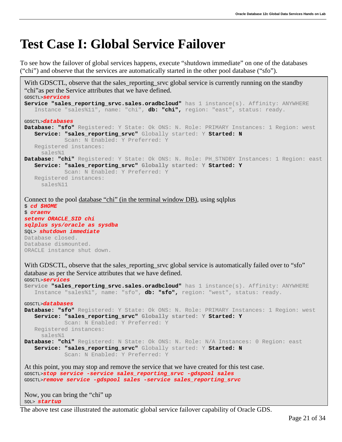### <span id="page-21-0"></span>**Test Case I: Global Service Failover**

To see how the failover of global services happens, execute "shutdown immediate" on one of the databases ("chi") and observe that the services are automatically started in the other pool database ("sfo").

```
With GDSCTL, observe that the sales_reporting_srvc global service is currently running on the standby
"chi"as per the Service attributes that we have defined.
GDSCTL>services
Service "sales reporting srvc.sales.oradbcloud" has 1 instance(s). Affinity: ANYWHERE
    Instance "sales%11", name: "chi", db: "chi", region: "east", status: ready.
GDSCTL>databases
Database: "sfo" Registered: Y State: Ok ONS: N. Role: PRIMARY Instances: 1 Region: west
    Service: "sales_reporting_srvc" Globally started: Y Started: N
             Scan: N Enabled: Y Preferred: Y
    Registered instances:
      sales%1
Database: "chi" Registered: Y State: Ok ONS: N. Role: PH_STNDBY Instances: 1 Region: east
    Service: "sales_reporting_srvc" Globally started: Y Started: Y
             Scan: N Enabled: Y Preferred: Y
    Registered instances:
      sales%11
Connect to the pool database "chi" (in the terminal window DB), using sqlplus 
$ cd $HOME
$ oraenv
setenv ORACLE_SID chi
sqlplus sys/oracle as sysdba
SQL> shutdown immediate
Database closed.
Database dismounted.
ORACLE instance shut down.
With GDSCTL, observe that the sales_reporting_srvc global service is automatically failed over to "sfo"
database as per the Service attributes that we have defined.
GDSCTL>services
Service "sales_reporting_srvc.sales.oradbcloud" has 1 instance(s). Affinity: ANYWHERE
    Instance "sales%1", name: "sfo", db: "sfo", region: "west", status: ready.
GDSCTL>databases
Database: "sfo" Registered: Y State: Ok ONS: N. Role: PRIMARY Instances: 1 Region: west
    Service: "sales_reporting_srvc" Globally started: Y Started: Y
             Scan: N Enabled: Y Preferred: Y
    Registered instances:
      sales%1
Database: "chi" Registered: N State: Ok ONS: N. Role: N/A Instances: 0 Region: east
    Service: "sales_reporting_srvc" Globally started: Y Started: N
             Scan: N Enabled: Y Preferred: Y
At this point, you may stop and remove the service that we have created for this test case.
GDSCTL>stop service -service sales_reporting_srvc -gdspool sales
GDSCTL>remove service -gdspool sales -service sales_reporting_srvc
```
Now, you can bring the "chi" up SQL> *startup*

The above test case illustrated the automatic global service failover capability of Oracle GDS.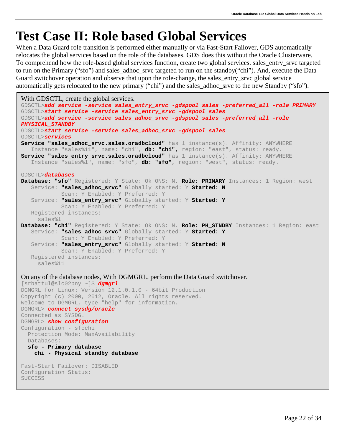## <span id="page-22-0"></span>**Test Case II: Role based Global Services**

When a Data Guard role transition is performed either manually or via Fast-Start Failover, GDS automatically relocates the global services based on the role of the databases. GDS does this without the Oracle Clusterware. To comprehend how the role-based global services function, create two global services. sales\_entry\_srvc targeted to run on the Primary ("sfo") and sales\_adhoc\_srvc targeted to run on the standby("chi"). And, execute the Data Guard switchover operation and observe that upon the role-change, the sales\_entry\_srvc global service automatically gets relocated to the new primary ("chi") and the sales\_adhoc\_srvc to the new Standby ("sfo").

```
With GDSCTL, create the global services.
GDSCTL>add service -service sales_entry_srvc -gdspool sales -preferred_all -role PRIMARY
GDSCTL>start service -service sales_entry_srvc -gdspool sales
GDSCTL>add service -service sales_adhoc_srvc -gdspool sales -preferred_all -role 
PHYSICAL_STANDBY
GDSCTL>start service -service sales_adhoc_srvc -gdspool sales
GDSCTL>services
Service "sales adhoc srvc.sales.oradbcloud" has 1 instance(s). Affinity: ANYWHERE
    Instance "sales%11", name: "chi", db: "chi", region: "east", status: ready.
Service "sales_entry_srvc.sales.oradbcloud" has 1 instance(s). Affinity: ANYWHERE
    Instance "sales%1", name: "sfo", db: "sfo", region: "west", status: ready.
GDSCTL>databases
Database: "sfo" Registered: Y State: Ok ONS: N. Role: PRIMARY Instances: 1 Region: west
    Service: "sales_adhoc_srvc" Globally started: Y Started: N
             Scan: Y Enabled: Y Preferred: Y
    Service: "sales_entry_srvc" Globally started: Y Started: Y
            Scan: Y Enabled: Y Preferred: Y
    Registered instances:
     sales%1
Database: "chi" Registered: Y State: Ok ONS: N. Role: PH_STNDBY Instances: 1 Region: east
    Service: "sales_adhoc_srvc" Globally started: Y Started: Y
             Scan: Y Enabled: Y Preferred: Y
    Service: "sales_entry_srvc" Globally started: Y Started: N
            Scan: Y Enabled: Y Preferred: Y
    Registered instances:
     sales%11
On any of the database nodes, With DGMGRL, perform the Data Guard switchover.
[srbattul@slc02pny ~]$ dgmgrl
DGMGRL for Linux: Version 12.1.0.1.0 - 64bit Production
Copyright (c) 2000, 2012, Oracle. All rights reserved.
Welcome to DGMGRL, type "help" for information.
DGMGRL> connect sysdg/oracle
Connected as SYSDG.
DGMGRL> show configuration
Configuration - sfochi
  Protection Mode: MaxAvailability
  Databases:
  sfo - Primary database
     chi - Physical standby database 
Fast-Start Failover: DISABLED
Configuration Status:
SUCCESS
```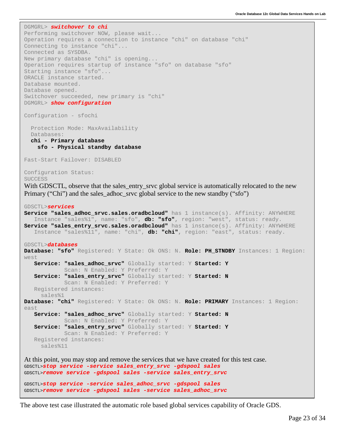```
Connected as SYSDBA.<br>New primary database "chi" is opening...
ORACLE instance started.<br>Database mounted.
 DGMGRL> switchover to chi
Performing switchover NOW, please wait...
Operation requires a connection to instance "chi" on database "chi"
Connecting to instance "chi"...
Connected as SYSDBA.
Operation requires startup of instance "sfo" on database "sfo"
Starting instance "sfo"...
Database mounted.
Database opened.
Switchover succeeded, new primary is "chi"
DGMGRL> show configuration
Configuration - sfochi
   Protection Mode: MaxAvailability
   Databases:
    chi - Primary database
      sfo - Physical standby database 
Fast-Start Failover: DISABLED
Configuration Status:
SUCCESS
With GDSCTL, observe that the sales_entry_srvc global service is automatically relocated to the new
Primary ("Chi") and the sales adhoc srvc global service to the new standby ("sfo")
GDSCTL>services
Service "sales adhoc srvc.sales.oradbcloud" has 1 instance(s). Affinity: ANYWHERE
     Instance "sales%1", name: "sfo", db: "sfo", region: "west", status: ready.
Service "sales_entry_srvc.sales.oradbcloud" has 1 instance(s). Affinity: ANYWHERE
     Instance "sales%11", name: "chi", db: "chi", region: "east", status: ready.
GDSCTL>databases
Database: "sfo" Registered: Y State: Ok ONS: N. Role: PH_STNDBY Instances: 1 Region: 
west
     Service: "sales_adhoc_srvc" Globally started: Y Started: Y
              Scan: N Enabled: Y Preferred: Y
     Service: "sales_entry_srvc" Globally started: Y Started: N
              Scan: N Enabled: Y Preferred: Y
     Registered instances:
      sales%1
Database: "chi" Registered: Y State: Ok ONS: N. Role: PRIMARY Instances: 1 Region: 
east
     Service: "sales_adhoc_srvc" Globally started: Y Started: N
              Scan: N Enabled: Y Preferred: Y
     Service: "sales_entry_srvc" Globally started: Y Started: Y
              Scan: N Enabled: Y Preferred: Y
     Registered instances:
      sales%11
At this point, you may stop and remove the services that we have created for this test case.
GDSCTL>stop service -service sales_entry_srvc -gdspool sales
GDSCTL>remove service -gdspool sales -service sales_entry_srvc
GDSCTL>stop service -service sales_adhoc_srvc -gdspool sales
GDSCTL>remove service -gdspool sales -service sales_adhoc_srvc
```
The above test case illustrated the automatic role based global services capability of Oracle GDS.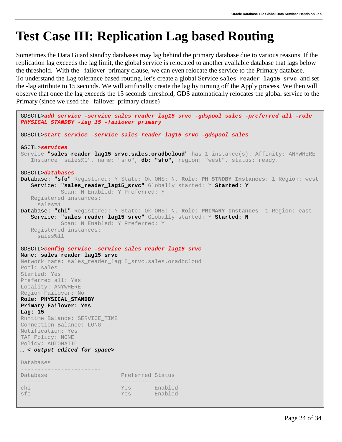# <span id="page-24-0"></span>**Test Case III: Replication Lag based Routing**

Sometimes the Data Guard standby databases may lag behind the primary database due to various reasons. If the replication lag exceeds the lag limit, the global service is relocated to another available database that lags below the threshold. With the –failover\_primary clause, we can even relocate the service to the Primary database. To understand the Lag tolerance based routing, let's create a global Service **sales\_reader\_lag15\_srvc** and set the -lag attribute to 15 seconds. We will artificially create the lag by turning off the Apply process. We then will observe that once the lag exceeds the 15 seconds threshold, GDS automatically relocates the global service to the Primary (since we used the –failover\_primary clause)

```
GDSCTL>add service -service sales_reader_lag15_srvc -gdspool sales -preferred_all -role 
PHYSICAL_STANDBY -lag 15 -failover_primary
GDSCTL>start service -service sales_reader_lag15_srvc -gdspool sales
GSCTL>services
Service "sales_reader_lag15_srvc.sales.oradbcloud" has 1 instance(s). Affinity: ANYWHERE
   Instance "sales%1", name: "sfo", db: "sfo", region: "west", status: ready.
GDSCTL>databases
Database: "sfo" Registered: Y State: Ok ONS: N. Role: PH_STNDBY Instances: 1 Region: west
    Service: "sales_reader_lag15_srvc" Globally started: Y Started: Y
            Scan: N Enabled: Y Preferred: Y
   Registered instances:
     sales%1
Database: "chi" Registered: Y State: Ok ONS: N. Role: PRIMARY Instances: 1 Region: east
   Service: "sales_reader_lag15_srvc" Globally started: Y Started: N
            Scan: N Enabled: Y Preferred: Y
   Registered instances:
     sales%11
GDSCTL>config service -service sales_reader_lag15_srvc
Name: sales_reader_lag15_srvc
Network name: sales reader lag15 srvc.sales.oradbcloud
Pool: sales
Started: Yes
Preferred all: Yes
Locality: ANYWHERE
Region Failover: No
Role: PHYSICAL_STANDBY
Primary Failover: Yes
Lag: 15
Runtime Balance: SERVICE_TIME
Connection Balance: LONG
Notification: Yes
TAF Policy: NONE
Policy: AUTOMATIC
… < output edited for space>
Databases
------------------------
Database Preferred Status
-------- --------- ------ 
chi Yes Enabled 
                                      Enabled
```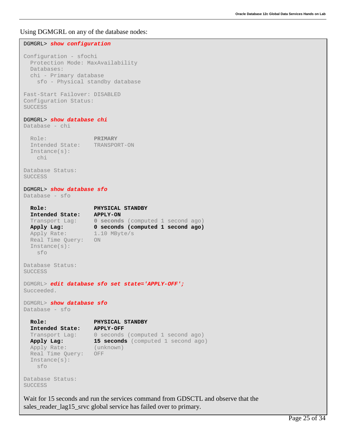Using DGMGRL on any of the database nodes:

```
DGMGRL> show configuration
Configuration - sfochi
  Protection Mode: MaxAvailability
  Databases:
   chi - Primary database
     sfo - Physical standby database 
Fast-Start Failover: DISABLED
Configuration Status:
SUCCESS
DGMGRL> show database chi
Database - chi
  Role: PRIMARY<br>Intended State: TRANSPORT-ON
  Intended State:
   Instance(s):
     chi
Database Status:
SUCCESS
DGMGRL> show database sfo
Database - sfo
  Role: PHYSICAL STANDBY<br>Intended State: APPLY-ON
  Intended State:<br>Transport Lag:
 Transport Lag: 0 seconds (computed 1 second ago)<br>
Apply Lag: 0 seconds (computed 1 second ago)
                     0 seconds (computed 1 second ago)<br>1.10 MByte/s
 Apply Rate:
   Real Time Query: ON
   Instance(s):
     sfo
Database Status:
SUCCESS
DGMGRL> edit database sfo set state='APPLY-OFF';
Succeeded.
DGMGRL> show database sfo
Database - sfo
   Role: PHYSICAL STANDBY
   Intended State: APPLY-OFF
 Transport Lag: 0 seconds (computed 1 second ago)
  Apply Lag: 15 seconds (computed 1 second ago)
   Apply Rate: (unknown)
   Real Time Query: OFF
   Instance(s):
     sfo
Database Status:
SUCCESS
Wait for 15 seconds and run the services command from GDSCTL and observe that the 
sales_reader_lag15_srvc global service has failed over to primary.
```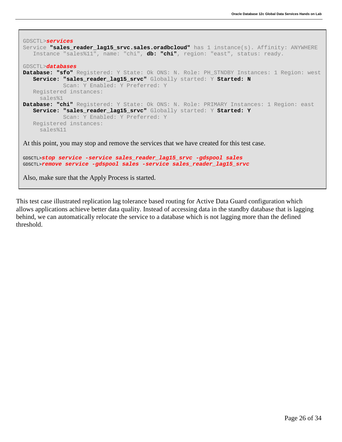```
GDSCTL>services
Service "sales_reader_lag15_srvc.sales.oradbcloud" has 1 instance(s). Affinity: ANYWHERE
    Instance "sales%11", name: "chi", db: "chi", region: "east", status: ready.
GDSCTL>databases
Database: "sfo" Registered: Y State: Ok ONS: N. Role: PH_STNDBY Instances: 1 Region: west
    Service: "sales_reader_lag15_srvc" Globally started: Y Started: N
             Scan: Y Enabled: Y Preferred: Y
    Registered instances:
      sales%1
Database: "chi" Registered: Y State: Ok ONS: N. Role: PRIMARY Instances: 1 Region: east
    Service: "sales_reader_lag15_srvc" Globally started: Y Started: Y
             Scan: Y Enabled: Y Preferred: Y
    Registered instances:
      sales%11
At this point, you may stop and remove the services that we have created for this test case.
GDSCTL>stop service -service sales_reader_lag15_srvc -gdspool sales
```

```
GDSCTL>remove service -gdspool sales -service sales_reader_lag15_srvc
```
Also, make sure that the Apply Process is started.

This test case illustrated replication lag tolerance based routing for Active Data Guard configuration which allows applications achieve better data quality. Instead of accessing data in the standby database that is lagging behind, we can automatically relocate the service to a database which is not lagging more than the defined threshold.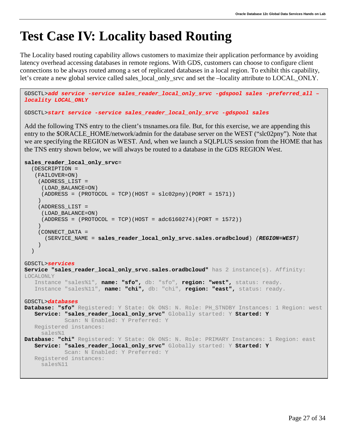# <span id="page-27-0"></span>**Test Case IV: Locality based Routing**

The Locality based routing capability allows customers to maximize their application performance by avoiding latency overhead accessing databases in remote regions. With GDS, customers can choose to configure client connections to be always routed among a set of replicated databases in a local region. To exhibit this capability, let's create a new global service called sales\_local\_only\_srvc and set the –locality attribute to LOCAL\_ONLY.

```
GDSCTL>add service -service sales_reader_local_only_srvc -gdspool sales -preferred_all –
locality LOCAL_ONLY
GDSCTL>start service -service sales_reader_local_only_srvc -gdspool sales
```
Add the following TNS entry to the client's tnsnames.ora file. But, for this exercise, we are appending this entry to the \$ORACLE\_HOME/network/admin for the database server on the WEST ("slc02pny"). Note that we are specifying the REGION as WEST. And, when we launch a SQLPLUS session from the HOME that has the TNS entry shown below, we will always be routed to a database in the GDS REGION West.

```
sales_reader_local_only_srvc=
   (DESCRIPTION =
    (FAILOVER=ON)
     (ADDRESS_LIST =
      (LOAD_BALANCE=ON)
     (ADDRESS = (PROTOCOL = TCP) (HOST = Slc02pny) (PORT = 1571))\overline{\phantom{a}} (ADDRESS_LIST =
      (LOAD_BALANCE=ON)
     (ADDRESS = (PROTOCOL = TCP) (HOST = 2)(100274)\overline{\phantom{a}} (CONNECT_DATA =
       (SERVICE_NAME = sales_reader_local_only_srvc.sales.oradbcloud) (REGION=WEST)
\overline{\phantom{a}} )
GDSCTL>services
Service "sales_reader_local_only_srvc.sales.oradbcloud" has 2 instance(s). Affinity: 
LOCALONLY
    Instance "sales%1", name: "sfo", db: "sfo", region: "west", status: ready.
    Instance "sales%11", name: "chi", db: "chi", region: "east", status: ready.
GDSCTL>databases
Database: "sfo" Registered: Y State: Ok ONS: N. Role: PH_STNDBY Instances: 1 Region: west
    Service: "sales_reader_local_only_srvc" Globally started: Y Started: Y
             Scan: N Enabled: Y Preferred: Y
    Registered instances:
      sales%1
Database: "chi" Registered: Y State: Ok ONS: N. Role: PRIMARY Instances: 1 Region: east
    Service: "sales_reader_local_only_srvc" Globally started: Y Started: Y
             Scan: N Enabled: Y Preferred: Y
    Registered instances:
     sales%11
```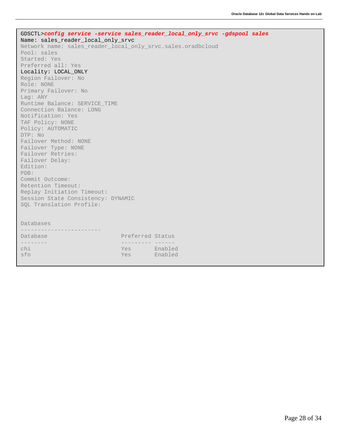| GDSCTL>config service -service sales_reader_local_only_srvc -gdspool sales |  |
|----------------------------------------------------------------------------|--|
| Name: sales_reader_local_only_srvc                                         |  |
| Network name: sales_reader_local_only_srvc.sales.oradbcloud                |  |
| Pool: sales                                                                |  |
| Started: Yes                                                               |  |
| Preferred all: Yes                                                         |  |
| Locality: LOCAL ONLY                                                       |  |
| Region Failover: No                                                        |  |
| Role: NONE                                                                 |  |
| Primary Failover: No                                                       |  |
| Laq: ANY                                                                   |  |
| Runtime Balance: SERVICE_TIME                                              |  |
| Connection Balance: LONG                                                   |  |
| Notification: Yes                                                          |  |
| TAF Policy: NONE                                                           |  |
| Policy: AUTOMATIC                                                          |  |
| DTP: No                                                                    |  |
| Failover Method: NONE                                                      |  |
| Failover Type: NONE                                                        |  |
| Failover Retries:                                                          |  |
| Failover Delay:                                                            |  |
| Edition:                                                                   |  |
| PDB:                                                                       |  |
| Commit Outcome:                                                            |  |
| Retention Timeout:                                                         |  |
| Replay Initiation Timeout:                                                 |  |
| Session State Consistency: DYNAMIC                                         |  |
| SQL Translation Profile:                                                   |  |
|                                                                            |  |
|                                                                            |  |
| Databases                                                                  |  |
|                                                                            |  |
| Database<br>Preferred Status                                               |  |
| -------                                                                    |  |
| chi<br>Yes Enabled                                                         |  |
| sfo<br>Enabled<br>Yes                                                      |  |
|                                                                            |  |
|                                                                            |  |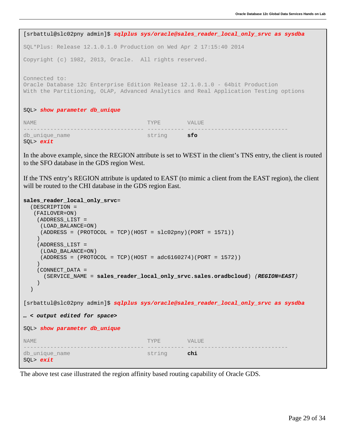```
 
SQL*Plus: Release 12.1.0.1.0 Production on Wed Apr 2 17:15:40 2014

Connected to:

With the Partitioning, OLAP, Advanced Analytics and Real Application Testing options
NAME

SQL> exit

to the SFO database in the GDS region West.

will be routed to the CHI database in the GDS region East.
 [srbattul@slc02pny admin]$ sqlplus sys/oracle@sales_reader_local_only_srvc as sysdba
Copyright (c) 1982, 2013, Oracle. All rights reserved.
Oracle Database 12c Enterprise Edition Release 12.1.0.1.0 - 64bit Production
SQL> show parameter db_unique
 NAME STATES OF THE SERVICE OF THE SERVICE OF THE SERVICE OF THE SERVICE OF THE SERVICE OF THE SERVICE OF THE S
 ------------------------------------ ----------- ------------------------------
db_unique_name string sfo
In the above example, since the REGION attribute is set to WEST in the client's TNS entry, the client is routed 
If the TNS entry's REGION attribute is updated to EAST (to mimic a client from the EAST region), the client 
sales_reader_local_only_srvc=
```

```
 
SQL> show parameter db_unique

db_unique_name string chi
    (DESCRIPTION =
     (FAILOVER=ON)
      (ADDRESS_LIST =
       (LOAD_BALANCE=ON)
       (ADDRESS = (PROTOCOL = TCP)(HOST = slc02pny)(PORT = 1571))
 \overline{\phantom{a}} (ADDRESS_LIST =
      (LOAD_BALANCE=ON)
      (ADDRESS = (PROTOCOL = TCP) (HOST = <math>adc6160274</math> (PORT = 1572)) )
      (CONNECT_DATA =
        (SERVICE_NAME = sales_reader_local_only_srvc.sales.oradbcloud) (REGION=EAST)
      )
    )
[srbattul@slc02pny admin]$ sqlplus sys/oracle@sales_reader_local_only_srvc as sysdba
… < output edited for space>
 NAME STATES OF THE SERVICE OF THE SERVICE OF THE SERVICE OF THE SERVICE OF THE SERVICE OF THE SERVICE OF THE S
 ------------------------------------ ----------- ------------------------------
SQL> exit
```
The above test case illustrated the region affinity based routing capability of Oracle GDS.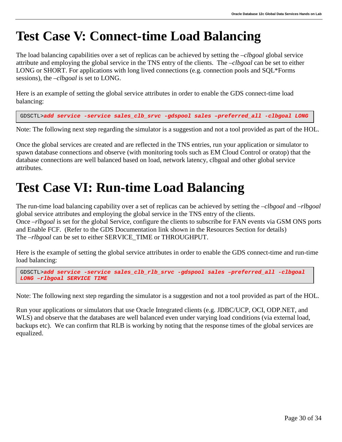# <span id="page-30-0"></span>**Test Case V: Connect-time Load Balancing**

The load balancing capabilities over a set of replicas can be achieved by setting the –*clbgoal* global service attribute and employing the global service in the TNS entry of the clients. The –*clbgoal* can be set to either LONG or SHORT. For applications with long lived connections (e.g. connection pools and SQL\*Forms sessions), the –*clbgoal* is set to LONG.

Here is an example of setting the global service attributes in order to enable the GDS connect-time load balancing:

GDSCTL>*add service -service sales\_clb\_srvc -gdspool sales –preferred\_all -clbgoal LONG*

Note: The following next step regarding the simulator is a suggestion and not a tool provided as part of the HOL.

Once the global services are created and are reflected in the TNS entries, run your application or simulator to spawn database connections and observe (with monitoring tools such as EM Cloud Control or oratop) that the database connections are well balanced based on load, network latency, clbgoal and other global service attributes.

### <span id="page-30-1"></span>**Test Case VI: Run-time Load Balancing**

The run-time load balancing capability over a set of replicas can be achieved by setting the *–clbgoal* and –*rlbgoal* global service attributes and employing the global service in the TNS entry of the clients. Once –*rlbgoal* is set for the global Service, configure the clients to subscribe for FAN events via GSM ONS ports and Enable FCF. (Refer to the GDS Documentation link shown in the Resources Section for details) The *-rlbgoal* can be set to either SERVICE\_TIME or THROUGHPUT.

Here is the example of setting the global service attributes in order to enable the GDS connect-time and run-time load balancing:

GDSCTL>*add service -service sales\_clb\_rlb\_srvc -gdspool sales –preferred\_all -clbgoal LONG –rlbgoal SERVICE TIME*

Note: The following next step regarding the simulator is a suggestion and not a tool provided as part of the HOL.

Run your applications or simulators that use Oracle Integrated clients (e.g. JDBC/UCP, OCI, ODP.NET, and WLS) and observe that the databases are well balanced even under varying load conditions (via external load, backups etc). We can confirm that RLB is working by noting that the response times of the global services are equalized.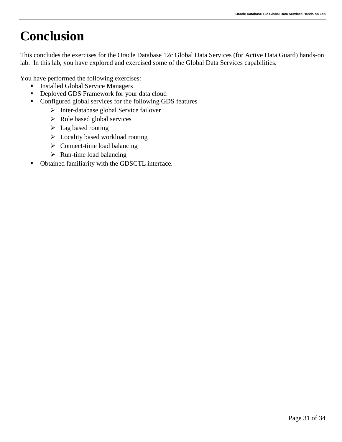# <span id="page-31-0"></span>**Conclusion**

This concludes the exercises for the Oracle Database 12c Global Data Services (for Active Data Guard) hands-on lab. In this lab, you have explored and exercised some of the Global Data Services capabilities.

You have performed the following exercises:

- **Installed Global Service Managers**
- **•** Deployed GDS Framework for your data cloud
- Configured global services for the following GDS features
	- $\triangleright$  Inter-database global Service failover
	- $\triangleright$  Role based global services
	- $\blacktriangleright$  Lag based routing
	- $\triangleright$  Locality based workload routing
	- $\triangleright$  Connect-time load balancing
	- $\triangleright$  Run-time load balancing
- Obtained familiarity with the GDSCTL interface.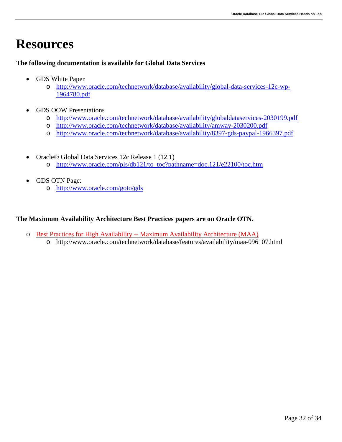### <span id="page-32-0"></span>**Resources**

### **The following documentation is available for Global Data Services**

- GDS White Paper
	- o [http://www.oracle.com/technetwork/database/availability/global-data-services-12c-wp-](http://www.oracle.com/technetwork/database/availability/global-data-services-12c-wp-1964780.pdf)[1964780.pdf](http://www.oracle.com/technetwork/database/availability/global-data-services-12c-wp-1964780.pdf)
- GDS OOW Presentations
	- o <http://www.oracle.com/technetwork/database/availability/globaldataservices-2030199.pdf>
	- o <http://www.oracle.com/technetwork/database/availability/amway-2030200.pdf>
	- o <http://www.oracle.com/technetwork/database/availability/8397-gds-paypal-1966397.pdf>
- Oracle® Global Data Services 12c Release 1 (12.1) o [http://www.oracle.com/pls/db121/to\\_toc?pathname=doc.121/e22100/toc.htm](http://www.oracle.com/pls/db121/to_toc?pathname=doc.121/e22100/toc.htm)
- GDS OTN Page:
	- o <http://www.oracle.com/goto/gds>

### **The Maximum Availability Architecture Best Practices papers are on Oracle OTN.**

- o Best Practices for High Availability -- [Maximum Availability Architecture \(MAA\)](http://www.oracle.com/technetwork/database/features/availability/maa-096107.html)
	- o http://www.oracle.com/technetwork/database/features/availability/maa-096107.html